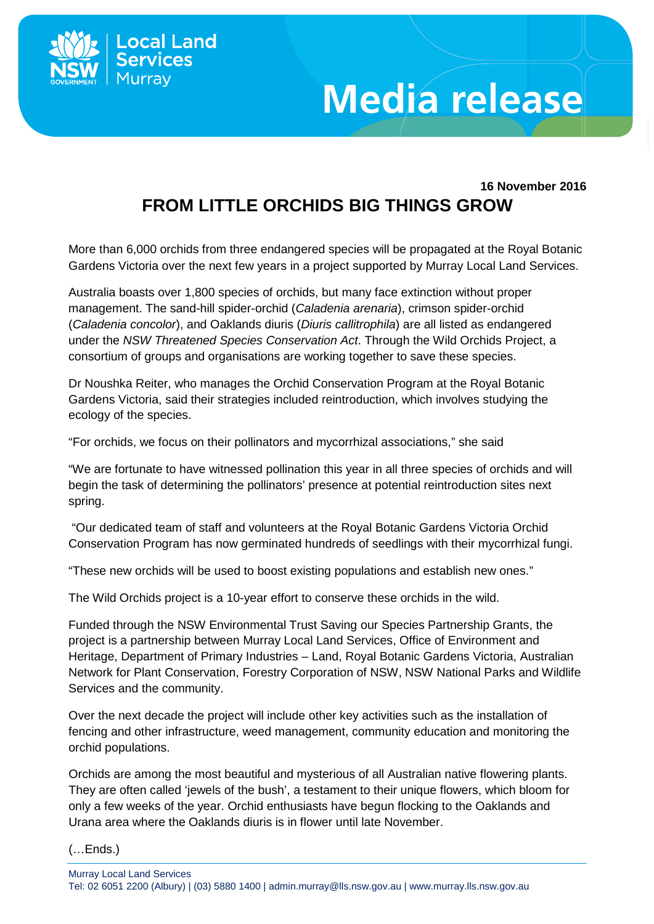

## **Media release**

## **16 November 2016 FROM LITTLE ORCHIDS BIG THINGS GROW**

More than 6,000 orchids from three endangered species will be propagated at the Royal Botanic Gardens Victoria over the next few years in a project supported by Murray Local Land Services.

Australia boasts over 1,800 species of orchids, but many face extinction without proper management. The sand-hill spider-orchid (*Caladenia arenaria*), crimson spider-orchid (*Caladenia concolor*), and Oaklands diuris (*Diuris callitrophila*) are all listed as endangered under the *NSW Threatened Species Conservation Act*. Through the Wild Orchids Project, a consortium of groups and organisations are working together to save these species.

Dr Noushka Reiter, who manages the Orchid Conservation Program at the Royal Botanic Gardens Victoria, said their strategies included reintroduction, which involves studying the ecology of the species.

"For orchids, we focus on their pollinators and mycorrhizal associations," she said

"We are fortunate to have witnessed pollination this year in all three species of orchids and will begin the task of determining the pollinators' presence at potential reintroduction sites next spring.

"Our dedicated team of staff and volunteers at the Royal Botanic Gardens Victoria Orchid Conservation Program has now germinated hundreds of seedlings with their mycorrhizal fungi.

"These new orchids will be used to boost existing populations and establish new ones."

The Wild Orchids project is a 10-year effort to conserve these orchids in the wild.

Funded through the NSW Environmental Trust Saving our Species Partnership Grants, the project is a partnership between Murray Local Land Services, Office of Environment and Heritage, Department of Primary Industries – Land, Royal Botanic Gardens Victoria, Australian Network for Plant Conservation, Forestry Corporation of NSW, NSW National Parks and Wildlife Services and the community.

Over the next decade the project will include other key activities such as the installation of fencing and other infrastructure, weed management, community education and monitoring the orchid populations.

Orchids are among the most beautiful and mysterious of all Australian native flowering plants. They are often called 'jewels of the bush', a testament to their unique flowers, which bloom for only a few weeks of the year. Orchid enthusiasts have begun flocking to the Oaklands and Urana area where the Oaklands diuris is in flower until late November.

(…Ends.)